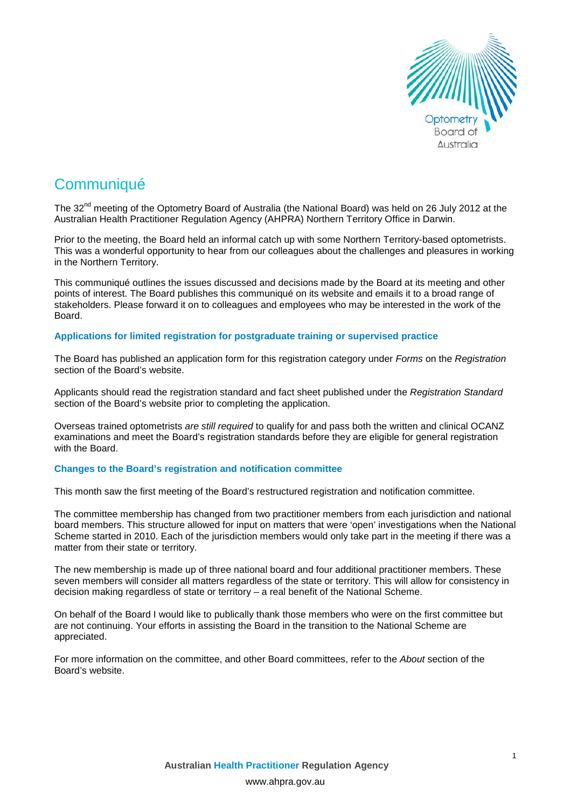

# **Communiqué**

The 32<sup>nd</sup> meeting of the Optometry Board of Australia (the National Board) was held on 26 July 2012 at the Australian Health Practitioner Regulation Agency (AHPRA) Northern Territory Office in Darwin.

Prior to the meeting, the Board held an informal catch up with some Northern Territory-based optometrists. This was a wonderful opportunity to hear from our colleagues about the challenges and pleasures in working in the Northern Territory.

This communiqué outlines the issues discussed and decisions made by the Board at its meeting and other points of interest. The Board publishes this communiqué on its website and emails it to a broad range of stakeholders. Please forward it on to colleagues and employees who may be interested in the work of the Board.

## **Applications for limited registration for postgraduate training or supervised practice**

The Board has published an application form for this registration category under *Forms* on the *Registration*  section of the Board's website.

Applicants should read the registration standard and fact sheet published under the *Registration Standard*  section of the Board's website prior to completing the application.

Overseas trained optometrists *are still required* to qualify for and pass both the written and clinical OCANZ examinations and meet the Board's registration standards before they are eligible for general registration with the Board.

## **Changes to the Board's registration and notification committee**

This month saw the first meeting of the Board's restructured registration and notification committee.

The committee membership has changed from two practitioner members from each jurisdiction and national board members. This structure allowed for input on matters that were 'open' investigations when the National Scheme started in 2010. Each of the jurisdiction members would only take part in the meeting if there was a matter from their state or territory.

The new membership is made up of three national board and four additional practitioner members. These seven members will consider all matters regardless of the state or territory. This will allow for consistency in decision making regardless of state or territory – a real benefit of the National Scheme.

On behalf of the Board I would like to publically thank those members who were on the first committee but are not continuing. Your efforts in assisting the Board in the transition to the National Scheme are appreciated.

For more information on the committee, and other Board committees, refer to the *About* section of the Board's website.